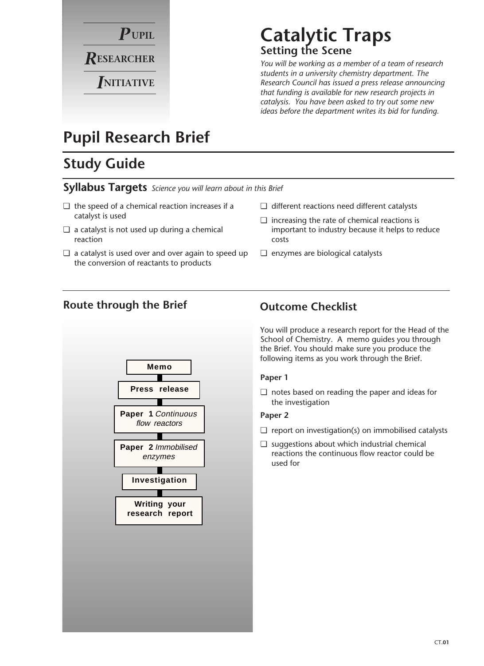

#### **Catalytic Traps Setting the Scene**

*You will be working as a member of a team of research students in a university chemistry department. The Research Council has issued a press release announcing that funding is available for new research projects in catalysis. You have been asked to try out some new ideas before the department writes its bid for funding.*

### **Pupil Research Brief**

#### **Study Guide**

#### **Syllabus Targets** *Science you will learn about in this Brief*

- ❏ the speed of a chemical reaction increases if a catalyst is used
- ❏ a catalyst is not used up during a chemical reaction
- ❏ a catalyst is used over and over again to speed up the conversion of reactants to products
- ❏ different reactions need different catalysts
- ❏ increasing the rate of chemical reactions is important to industry because it helps to reduce costs
- ❏ enzymes are biological catalysts

#### **Route through the Brief**



#### **Outcome Checklist**

You will produce a research report for the Head of the School of Chemistry. A memo guides you through the Brief. You should make sure you produce the following items as you work through the Brief.

#### **Paper 1**

❏ notes based on reading the paper and ideas for the investigation

#### **Paper 2**

- ❏ report on investigation(s) on immobilised catalysts
- ❏ suggestions about which industrial chemical reactions the continuous flow reactor could be used for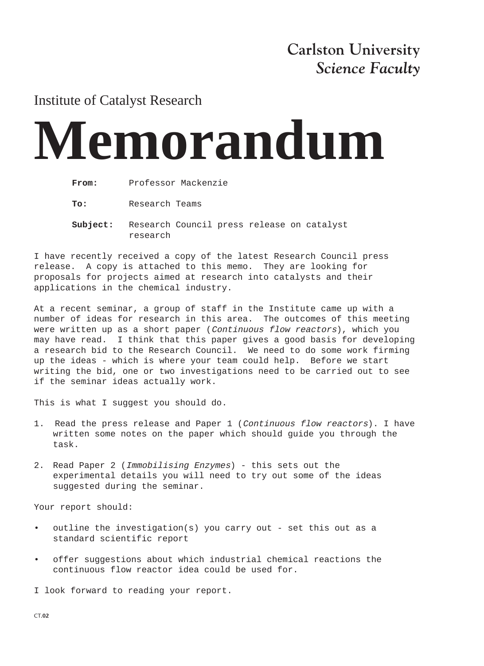#### **Carlston University** *Science Faculty*

#### Institute of Catalyst Research

# **Memorandum**

**To:** Research Teams

**Subject:** Research Council press release on catalyst research

I have recently received a copy of the latest Research Council press release. A copy is attached to this memo. They are looking for proposals for projects aimed at research into catalysts and their applications in the chemical industry.

At a recent seminar, a group of staff in the Institute came up with a number of ideas for research in this area. The outcomes of this meeting were written up as a short paper (Continuous flow reactors), which you may have read. I think that this paper gives a good basis for developing a research bid to the Research Council. We need to do some work firming up the ideas - which is where your team could help. Before we start writing the bid, one or two investigations need to be carried out to see if the seminar ideas actually work.

This is what I suggest you should do.

- 1. Read the press release and Paper 1 (Continuous flow reactors). I have written some notes on the paper which should guide you through the task.
- 2. Read Paper 2 (Immobilising Enzymes) this sets out the experimental details you will need to try out some of the ideas suggested during the seminar.

Your report should:

- outline the investigation(s) you carry out set this out as a standard scientific report
- offer suggestions about which industrial chemical reactions the continuous flow reactor idea could be used for.

I look forward to reading your report.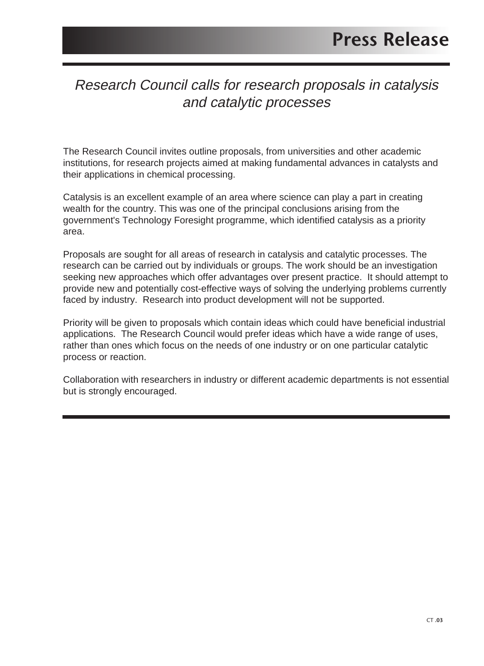#### Research Council calls for research proposals in catalysis and catalytic processes

The Research Council invites outline proposals, from universities and other academic institutions, for research projects aimed at making fundamental advances in catalysts and their applications in chemical processing.

Catalysis is an excellent example of an area where science can play a part in creating wealth for the country. This was one of the principal conclusions arising from the government's Technology Foresight programme, which identified catalysis as a priority area.

Proposals are sought for all areas of research in catalysis and catalytic processes. The research can be carried out by individuals or groups. The work should be an investigation seeking new approaches which offer advantages over present practice. It should attempt to provide new and potentially cost-effective ways of solving the underlying problems currently faced by industry. Research into product development will not be supported.

Priority will be given to proposals which contain ideas which could have beneficial industrial applications. The Research Council would prefer ideas which have a wide range of uses, rather than ones which focus on the needs of one industry or on one particular catalytic process or reaction.

Collaboration with researchers in industry or different academic departments is not essential but is strongly encouraged.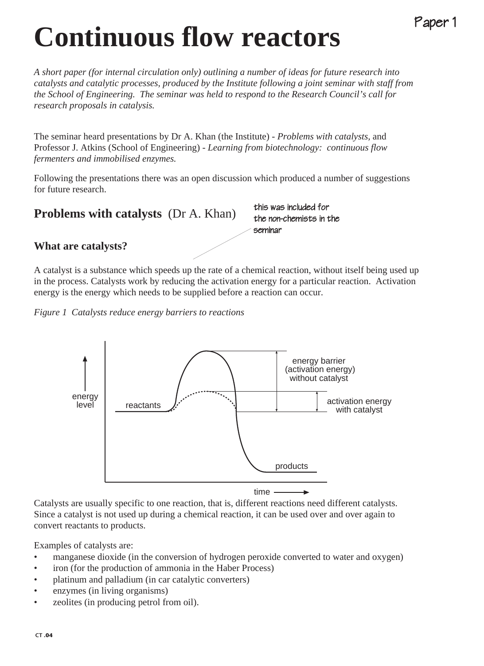## **Continuous flow reactors**

*A short paper (for internal circulation only) outlining a number of ideas for future research into catalysts and catalytic processes, produced by the Institute following a joint seminar with staff from the School of Engineering. The seminar was held to respond to the Research Council's call for research proposals in catalysis.*

The seminar heard presentations by Dr A. Khan (the Institute) - *Problems with catalysts,* and Professor J. Atkins (School of Engineering) - *Learning from biotechnology: continuous flow fermenters and immobilised enzymes.*

Following the presentations there was an open discussion which produced a number of suggestions for future research.

**Problems with catalysts** (Dr A. Khan)

this was included for the non-chemists in the seminar

Paper 1

**What are catalysts?**

A catalyst is a substance which speeds up the rate of a chemical reaction, without itself being used up in the process. Catalysts work by reducing the activation energy for a particular reaction. Activation energy is the energy which needs to be supplied before a reaction can occur.

*Figure 1 Catalysts reduce energy barriers to reactions*



Catalysts are usually specific to one reaction, that is, different reactions need different catalysts. Since a catalyst is not used up during a chemical reaction, it can be used over and over again to convert reactants to products.

Examples of catalysts are:

- manganese dioxide (in the conversion of hydrogen peroxide converted to water and oxygen)
- iron (for the production of ammonia in the Haber Process)
- platinum and palladium (in car catalytic converters)
- enzymes (in living organisms)
- zeolites (in producing petrol from oil).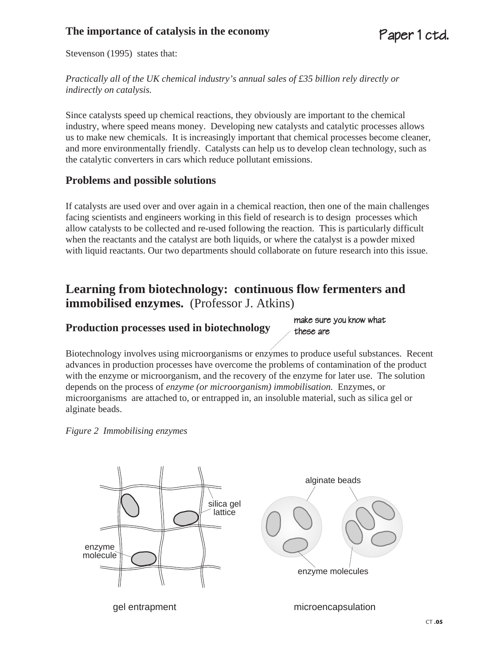#### **The importance of catalysis in the economy**

Stevenson (1995) states that:

*Practically all of the UK chemical industry's annual sales of £35 billion rely directly or indirectly on catalysis.*

Since catalysts speed up chemical reactions, they obviously are important to the chemical industry, where speed means money. Developing new catalysts and catalytic processes allows us to make new chemicals. It is increasingly important that chemical processes become cleaner, and more environmentally friendly. Catalysts can help us to develop clean technology, such as the catalytic converters in cars which reduce pollutant emissions.

#### **Problems and possible solutions**

If catalysts are used over and over again in a chemical reaction, then one of the main challenges facing scientists and engineers working in this field of research is to design processes which allow catalysts to be collected and re-used following the reaction. This is particularly difficult when the reactants and the catalyst are both liquids, or where the catalyst is a powder mixed with liquid reactants. Our two departments should collaborate on future research into this issue.

#### **Learning from biotechnology: continuous flow fermenters and immobilised enzymes.** (Professor J. Atkins)

#### **Production processes used in biotechnology**

make sure you know what these are

Biotechnology involves using microorganisms or enzymes to produce useful substances. Recent advances in production processes have overcome the problems of contamination of the product with the enzyme or microorganism, and the recovery of the enzyme for later use. The solution depends on the process of *enzyme (or microorganism) immobilisation.* Enzymes, or microorganisms are attached to, or entrapped in, an insoluble material, such as silica gel or alginate beads.



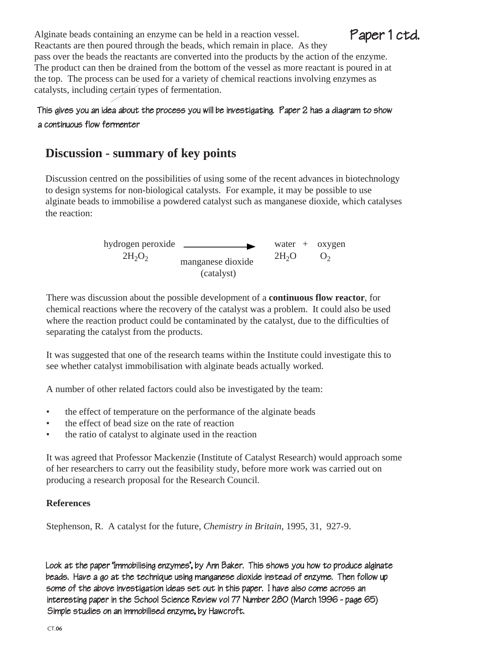Alginate beads containing an enzyme can be held in a reaction vessel. Reactants are then poured through the beads, which remain in place. As they pass over the beads the reactants are converted into the products by the action of the enzyme. The product can then be drained from the bottom of the vessel as more reactant is poured in at the top. The process can be used for a variety of chemical reactions involving enzymes as catalysts, including certain types of fermentation.

#### This gives you an idea about the process you will be investigating. Paper 2 has a diagram to show a continuous flow fermenter

#### **Discussion - summary of key points**

Discussion centred on the possibilities of using some of the recent advances in biotechnology to design systems for non-biological catalysts. For example, it may be possible to use alginate beads to immobilise a powdered catalyst such as manganese dioxide, which catalyses the reaction:

> hydrogen peroxide water + oxygen  $2H_2O_2$  manganese dioxide  $2H_2O$   $O_2$ (catalyst)

There was discussion about the possible development of a **continuous flow reactor**, for chemical reactions where the recovery of the catalyst was a problem. It could also be used where the reaction product could be contaminated by the catalyst, due to the difficulties of separating the catalyst from the products.

It was suggested that one of the research teams within the Institute could investigate this to see whether catalyst immobilisation with alginate beads actually worked.

A number of other related factors could also be investigated by the team:

- the effect of temperature on the performance of the alginate beads
- the effect of bead size on the rate of reaction
- the ratio of catalyst to alginate used in the reaction

It was agreed that Professor Mackenzie (Institute of Catalyst Research) would approach some of her researchers to carry out the feasibility study, before more work was carried out on producing a research proposal for the Research Council.

#### **References**

Stephenson, R. A catalyst for the future, *Chemistry in Britain*, 1995, 31, 927-9.

Look at the paper 'Immobilising enzymes', by Ann Baker. This shows you how to produce alginate beads. Have a go at the technique using manganese dioxide instead of enzyme. Then follow up some of the above investigation ideas set out in this paper. I have also come across an interesting paper in the School Science Review vol 77 Number 280 (March 1996 - page 65) Simple studies on an immobilised enzyme, by Hawcroft.